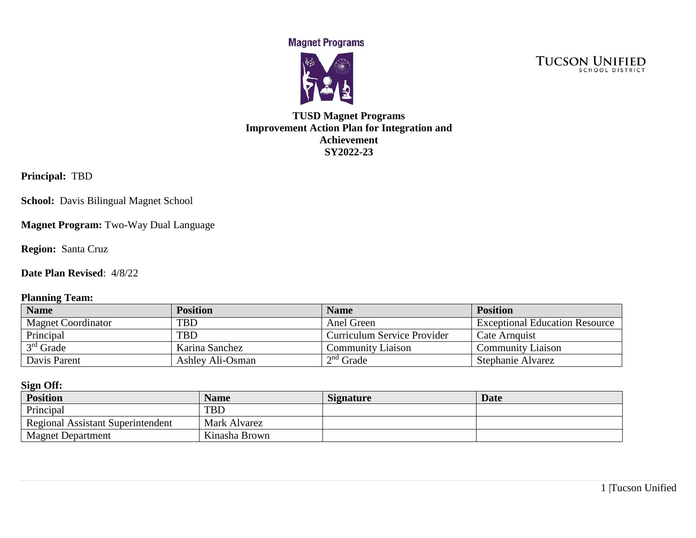**Magnet Programs** 



**TUCSON UNIFIED** 

## **TUSD Magnet Programs Improvement Action Plan for Integration and Achievement SY2022-23**

**Principal:** TBD

**School:** Davis Bilingual Magnet School

**Magnet Program:** Two-Way Dual Language

**Region:** Santa Cruz

**Date Plan Revised**: 4/8/22

#### **Planning Team:**

| <b>Name</b>               | <b>Position</b>  | <b>Name</b>                 | <b>Position</b>                       |
|---------------------------|------------------|-----------------------------|---------------------------------------|
| <b>Magnet Coordinator</b> | TBD              | Anel Green                  | <b>Exceptional Education Resource</b> |
| Principal                 | <b>TBD</b>       | Curriculum Service Provider | Cate Arnquist                         |
| $3rd$ Grade               | Karina Sanchez   | <b>Community Liaison</b>    | <b>Community Liaison</b>              |
| Davis Parent              | Ashley Ali-Osman | $2nd$ Grade                 | Stephanie Alvarez                     |

#### **Sign Off:**

| <b>Position</b>                          | <b>Name</b>   | <b>Signature</b> | <b>Date</b> |
|------------------------------------------|---------------|------------------|-------------|
| Principal                                | <b>TBD</b>    |                  |             |
| <b>Regional Assistant Superintendent</b> | Mark Alvarez  |                  |             |
| <b>Magnet Department</b>                 | Kinasha Brown |                  |             |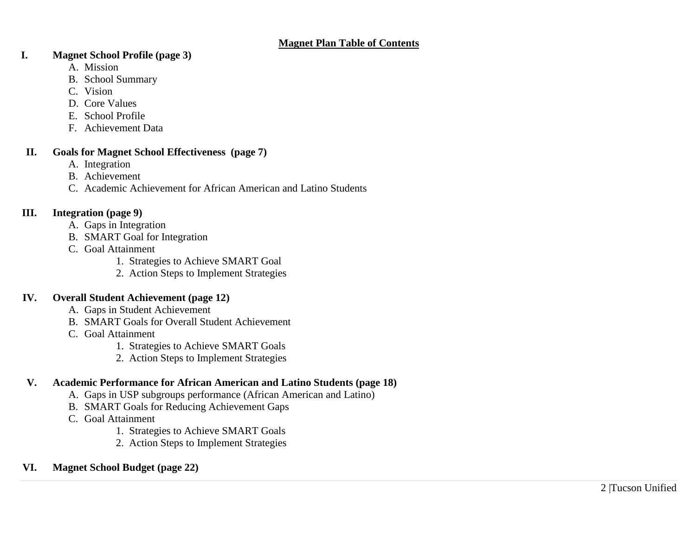#### **Magnet Plan Table of Contents**

#### **I. Magnet School Profile (page 3)**

- A. Mission
- B. School Summary
- C. Vision
- D. Core Values
- E. School Profile
- F. Achievement Data

## **II. Goals for Magnet School Effectiveness (page 7)**

- A. Integration
- B. Achievement
- C. Academic Achievement for African American and Latino Students

# **III. Integration (page 9)**

- A. Gaps in Integration
- B. SMART Goal for Integration
- C. Goal Attainment
	- 1. Strategies to Achieve SMART Goal
	- 2. Action Steps to Implement Strategies

# **IV. Overall Student Achievement (page 12)**

- A. Gaps in Student Achievement
- B. SMART Goals for Overall Student Achievement
- C. Goal Attainment
	- 1. Strategies to Achieve SMART Goals
	- 2. Action Steps to Implement Strategies

# **V. Academic Performance for African American and Latino Students (page 18)**

- A. Gaps in USP subgroups performance (African American and Latino)
- B. SMART Goals for Reducing Achievement Gaps
- C. Goal Attainment
	- 1. Strategies to Achieve SMART Goals
	- 2. Action Steps to Implement Strategies

# **VI. Magnet School Budget (page 22)**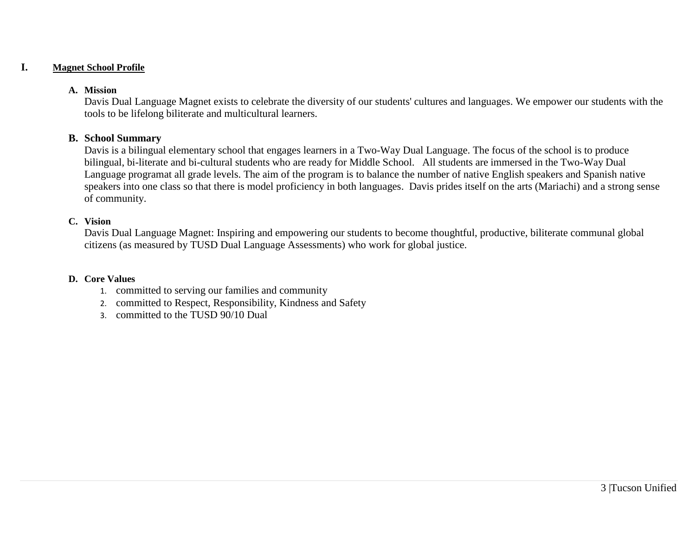#### **I. Magnet School Profile**

#### **A. Mission**

Davis Dual Language Magnet exists to celebrate the diversity of our students' cultures and languages. We empower our students with the tools to be lifelong biliterate and multicultural learners.

#### **B. School Summary**

Davis is a bilingual elementary school that engages learners in a Two-Way Dual Language. The focus of the school is to produce bilingual, bi-literate and bi-cultural students who are ready for Middle School. All students are immersed in the Two-Way Dual Language programat all grade levels. The aim of the program is to balance the number of native English speakers and Spanish native speakers into one class so that there is model proficiency in both languages. Davis prides itself on the arts (Mariachi) and a strong sense of community.

#### **C. Vision**

Davis Dual Language Magnet: Inspiring and empowering our students to become thoughtful, productive, biliterate communal global citizens (as measured by TUSD Dual Language Assessments) who work for global justice.

#### **D. Core Values**

- 1. committed to serving our families and community
- 2. committed to Respect, Responsibility, Kindness and Safety
- 3. committed to the TUSD 90/10 Dual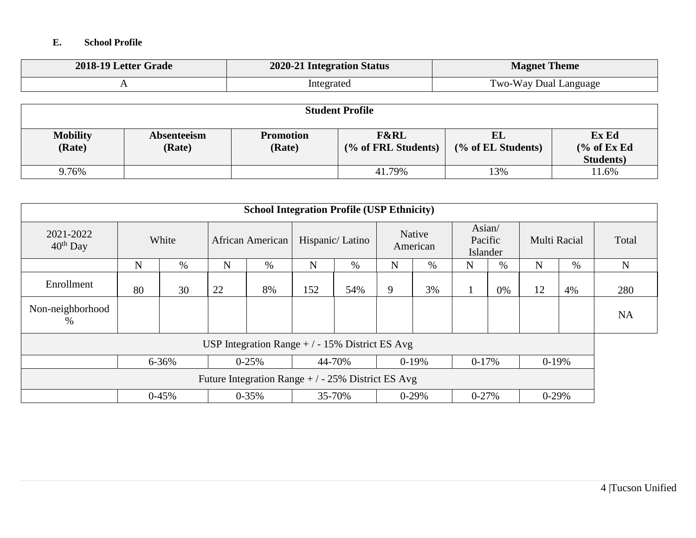## **E. School Profile**

| 2018-19 Letter Grade | 2020-21 Integration Status | <b>Magnet Theme</b>   |
|----------------------|----------------------------|-----------------------|
|                      | Integrated                 | Two-Way Dual Language |

| <b>Student Profile</b>    |                       |                            |                                        |                          |                                                      |  |
|---------------------------|-----------------------|----------------------------|----------------------------------------|--------------------------|------------------------------------------------------|--|
| <b>Mobility</b><br>(Rate) | Absenteeism<br>(Rate) | <b>Promotion</b><br>(Rate) | <b>F&amp;RL</b><br>(% of FRL Students) | EL<br>(% of EL Students) | Ex Ed<br>$\frac{6}{6}$ of Ex Ed<br><b>Students</b> ) |  |
| 9.76%                     |                       |                            | 41.79%                                 | 13%                      | 11.6%                                                |  |

| <b>School Integration Profile (USP Ethnicity)</b>  |                                                                   |         |    |                  |             |                 |   |                    |                               |      |              |    |             |
|----------------------------------------------------|-------------------------------------------------------------------|---------|----|------------------|-------------|-----------------|---|--------------------|-------------------------------|------|--------------|----|-------------|
| 2021-2022<br>$40^{th}$ Day                         |                                                                   | White   |    | African American |             | Hispanic/Latino |   | Native<br>American | Asian/<br>Pacific<br>Islander |      | Multi Racial |    | Total       |
|                                                    | N                                                                 | %       | N  | $\%$             | $\mathbf N$ | %               | N | $\%$               | $\mathbf N$                   | $\%$ | N            | %  | $\mathbf N$ |
| Enrollment                                         | 80                                                                | 30      | 22 | 8%               | 152         | 54%             | 9 | 3%                 |                               | 0%   | 12           | 4% | 280         |
| Non-neighborhood<br>%                              |                                                                   |         |    |                  |             |                 |   |                    |                               |      |              |    | <b>NA</b>   |
| USP Integration Range $+/-15\%$ District ES Avg    |                                                                   |         |    |                  |             |                 |   |                    |                               |      |              |    |             |
|                                                    | $6 - 36%$<br>44-70%<br>$0-19%$<br>$0-17%$<br>$0-19%$<br>$0 - 25%$ |         |    |                  |             |                 |   |                    |                               |      |              |    |             |
| Future Integration Range $+/-25\%$ District ES Avg |                                                                   |         |    |                  |             |                 |   |                    |                               |      |              |    |             |
|                                                    |                                                                   | $0-45%$ |    | $0 - 35\%$       |             | 35-70%          |   | $0-29%$            | $0 - 27%$                     |      | $0-29%$      |    |             |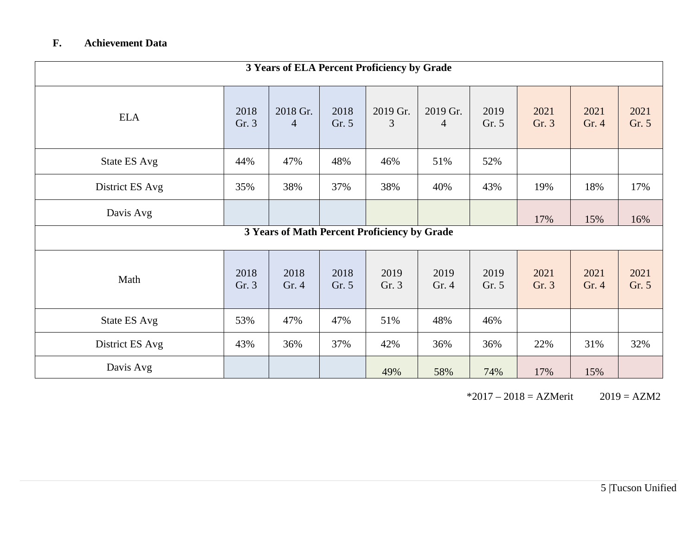# **F. Achievement Data**

| 3 Years of ELA Percent Proficiency by Grade |               |                            |               |                                              |               |               |               |               |               |
|---------------------------------------------|---------------|----------------------------|---------------|----------------------------------------------|---------------|---------------|---------------|---------------|---------------|
| <b>ELA</b>                                  | 2018<br>Gr. 3 | 2018 Gr.<br>$\overline{4}$ | 2018<br>Gr. 5 | 2019 Gr.<br>3                                | 2019 Gr.<br>4 | 2019<br>Gr. 5 | 2021<br>Gr. 3 | 2021<br>Gr. 4 | 2021<br>Gr. 5 |
| State ES Avg                                | 44%           | 47%                        | 48%           | 46%                                          | 51%           | 52%           |               |               |               |
| District ES Avg                             | 35%           | 38%                        | 37%           | 38%                                          | 40%           | 43%           | 19%           | 18%           | 17%           |
| Davis Avg                                   |               |                            |               |                                              |               |               | 17%           | 15%           | 16%           |
|                                             |               |                            |               | 3 Years of Math Percent Proficiency by Grade |               |               |               |               |               |
| Math                                        | 2018<br>Gr. 3 | 2018<br>Gr. 4              | 2018<br>Gr. 5 | 2019<br>Gr. 3                                | 2019<br>Gr. 4 | 2019<br>Gr. 5 | 2021<br>Gr. 3 | 2021<br>Gr. 4 | 2021<br>Gr. 5 |
| State ES Avg                                | 53%           | 47%                        | 47%           | 51%                                          | 48%           | 46%           |               |               |               |
| District ES Avg                             | 43%           | 36%                        | 37%           | 42%                                          | 36%           | 36%           | 22%           | 31%           | 32%           |
| Davis Avg                                   |               |                            |               | 49%                                          | 58%           | 74%           | 17%           | 15%           |               |

 $*2017 - 2018 = AZMerit$   $2019 = AZM2$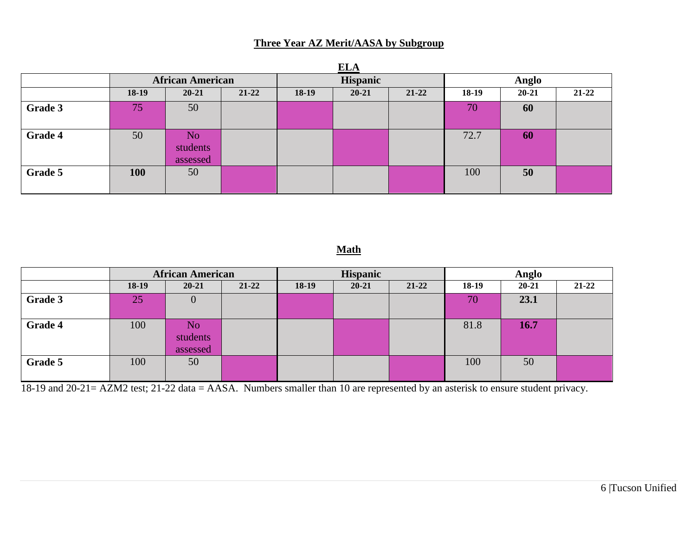# **Three Year AZ Merit/AASA by Subgroup**

|         | <b>ELA</b> |                             |           |          |           |           |       |           |           |
|---------|------------|-----------------------------|-----------|----------|-----------|-----------|-------|-----------|-----------|
|         |            | <b>African American</b>     |           | Hispanic |           |           | Anglo |           |           |
|         | 18-19      | $20 - 21$                   | $21 - 22$ | $18-19$  | $20 - 21$ | $21 - 22$ | 18-19 | $20 - 21$ | $21 - 22$ |
| Grade 3 | 75         | 50                          |           |          |           |           | 70    | 60        |           |
| Grade 4 | 50         | No.<br>students<br>assessed |           |          |           |           | 72.7  | 60        |           |
| Grade 5 | 100        | 50                          |           |          |           |           | 100   | 50        |           |

# **Math**

|         | <b>African American</b> |                                        | <b>Hispanic</b> |       |           | Anglo     |       |           |           |
|---------|-------------------------|----------------------------------------|-----------------|-------|-----------|-----------|-------|-----------|-----------|
|         | $18-19$                 | $20 - 21$                              | $21 - 22$       | 18-19 | $20 - 21$ | $21 - 22$ | 18-19 | $20 - 21$ | $21 - 22$ |
| Grade 3 | 25                      |                                        |                 |       |           |           | 70    | 23.1      |           |
| Grade 4 | 100                     | N <sub>o</sub><br>students<br>assessed |                 |       |           |           | 81.8  | 16.7      |           |
| Grade 5 | 100                     | 50                                     |                 |       |           |           | 100   | 50        |           |

18-19 and 20-21= AZM2 test; 21-22 data = AASA. Numbers smaller than 10 are represented by an asterisk to ensure student privacy.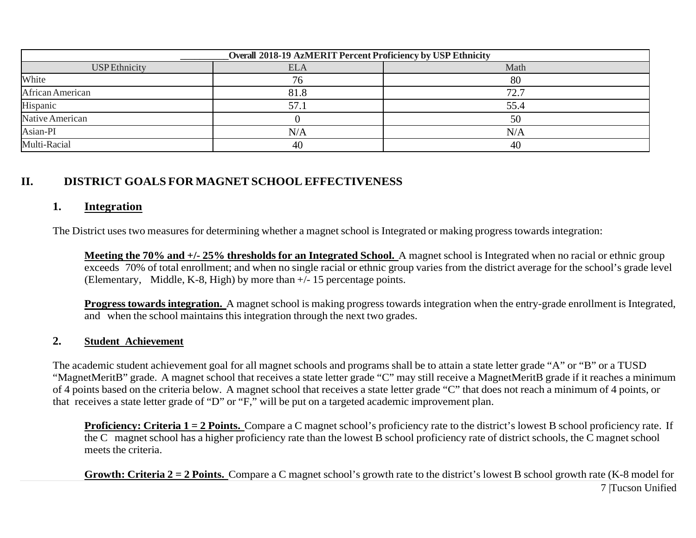| Overall 2018-19 AzMERIT Percent Proficiency by USP Ethnicity |            |      |  |  |  |  |
|--------------------------------------------------------------|------------|------|--|--|--|--|
| <b>USP</b> Ethnicity                                         | <b>ELA</b> | Math |  |  |  |  |
| White                                                        |            | 80   |  |  |  |  |
| African American                                             | 81.8       | 72.7 |  |  |  |  |
| Hispanic                                                     | 57.        | 55.4 |  |  |  |  |
| Native American                                              |            | 50   |  |  |  |  |
| Asian-PI                                                     | N/A        | N/A  |  |  |  |  |
| Multi-Racial                                                 | 40         | 40   |  |  |  |  |

# **II. DISTRICT GOALS FOR MAGNET SCHOOL EFFECTIVENESS**

### **1. Integration**

The District uses two measures for determining whether a magnet school is Integrated or making progress towards integration:

**Meeting the 70% and +/- 25% thresholds for an Integrated School.** A magnet school is Integrated when no racial or ethnic group exceeds 70% of total enrollment; and when no single racial or ethnic group varies from the district average for the school's grade level (Elementary, Middle, K-8, High) by more than +/- 15 percentage points.

**Progress towards integration.** A magnet school is making progress towards integration when the entry-grade enrollment is Integrated, and when the school maintains this integration through the next two grades.

#### **2. Student Achievement**

The academic student achievement goal for all magnet schools and programs shall be to attain a state letter grade "A" or "B" or a TUSD "MagnetMeritB" grade. A magnet school that receives a state letter grade "C" may still receive a MagnetMeritB grade if it reaches a minimum of 4 points based on the criteria below. A magnet school that receives a state letter grade "C" that does not reach a minimum of 4 points, or that receives a state letter grade of "D" or "F," will be put on a targeted academic improvement plan.

**Proficiency: Criteria 1 = 2 Points.** Compare a C magnet school's proficiency rate to the district's lowest B school proficiency rate. If the C magnet school has a higher proficiency rate than the lowest B school proficiency rate of district schools, the C magnet school meets the criteria.

7 |Tucson Unified **Growth: Criteria 2 = 2 Points.** Compare a C magnet school's growth rate to the district's lowest B school growth rate (K-8 model for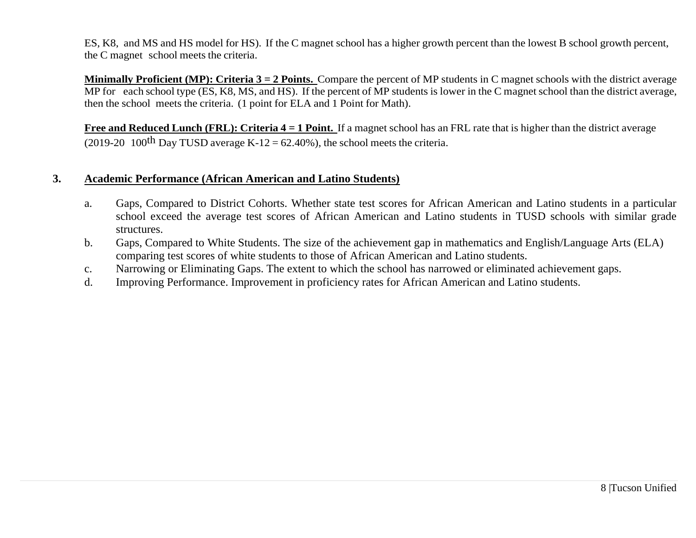ES, K8, and MS and HS model for HS). If the C magnet school has a higher growth percent than the lowest B school growth percent, the C magnet school meets the criteria.

**Minimally Proficient (MP): Criteria 3 = 2 Points.** Compare the percent of MP students in C magnet schools with the district average MP for each school type (ES, K8, MS, and HS). If the percent of MP students is lower in the C magnet school than the district average, then the school meets the criteria. (1 point for ELA and 1 Point for Math).

**Free and Reduced Lunch (FRL): Criteria 4 = 1 Point.** If a magnet school has an FRL rate that is higher than the district average (2019-20 100<sup>th</sup> Day TUSD average K-12 = 62.40%), the school meets the criteria.

## **3. Academic Performance (African American and Latino Students)**

- a. Gaps, Compared to District Cohorts. Whether state test scores for African American and Latino students in a particular school exceed the average test scores of African American and Latino students in TUSD schools with similar grade structures.
- b. Gaps, Compared to White Students. The size of the achievement gap in mathematics and English/Language Arts (ELA) comparing test scores of white students to those of African American and Latino students.
- c. Narrowing or Eliminating Gaps. The extent to which the school has narrowed or eliminated achievement gaps.
- d. Improving Performance. Improvement in proficiency rates for African American and Latino students.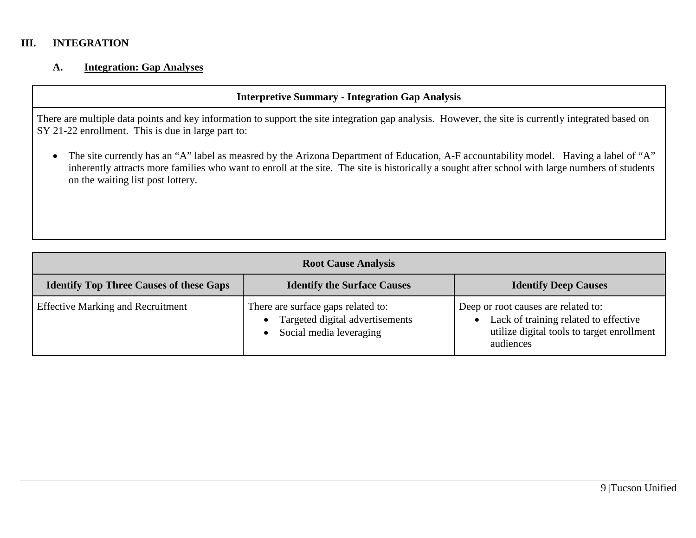### **III. INTEGRATION**

#### **A. Integration: Gap Analyses**

#### **Interpretive Summary - Integration Gap Analysis**

There are multiple data points and key information to support the site integration gap analysis. However, the site is currently integrated based on SY 21-22 enrollment. This is due in large part to:

• The site currently has an "A" label as measred by the Arizona Department of Education, A-F accountability model. Having a label of "A" inherently attracts more families who want to enroll at the site. The site is historically a sought after school with large numbers of students on the waiting list post lottery.

| <b>Root Cause Analysis</b>                     |                                                                                                  |                                                                                                                                         |  |  |  |  |
|------------------------------------------------|--------------------------------------------------------------------------------------------------|-----------------------------------------------------------------------------------------------------------------------------------------|--|--|--|--|
| <b>Identify Top Three Causes of these Gaps</b> | <b>Identify the Surface Causes</b>                                                               | <b>Identify Deep Causes</b>                                                                                                             |  |  |  |  |
| <b>Effective Marking and Recruitment</b>       | There are surface gaps related to:<br>Targeted digital advertisements<br>Social media leveraging | Deep or root causes are related to:<br>Lack of training related to effective<br>utilize digital tools to target enrollment<br>audiences |  |  |  |  |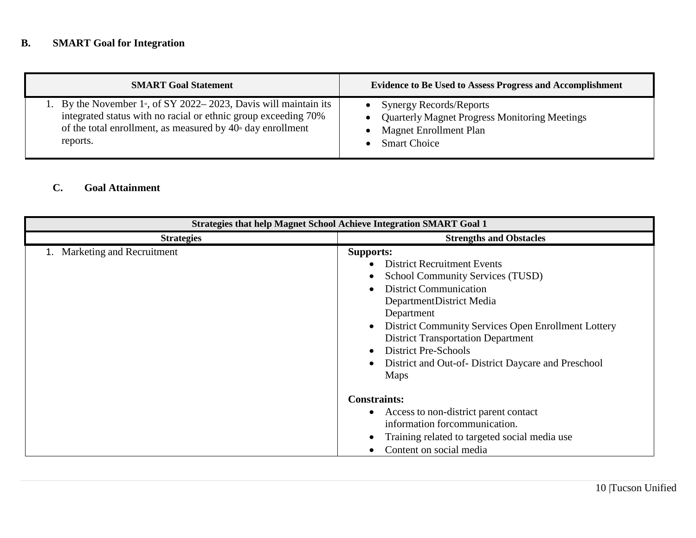# **B. SMART Goal for Integration**

| <b>SMART Goal Statement</b>                                                   | <b>Evidence to Be Used to Assess Progress and Accomplishment</b> |
|-------------------------------------------------------------------------------|------------------------------------------------------------------|
| 1. By the November 1 <sup>st</sup> , of SY 2022–2023, Davis will maintain its | • Synergy Records/Reports                                        |
| integrated status with no racial or ethnic group exceeding 70%                | • Quarterly Magnet Progress Monitoring Meetings                  |
| of the total enrollment, as measured by $40th$ day enrollment                 | <b>Magnet Enrollment Plan</b>                                    |
| reports.                                                                      | <b>Smart Choice</b>                                              |

# **C. Goal Attainment**

| <b>Strategies that help Magnet School Achieve Integration SMART Goal 1</b> |                                                                                                                                                                                                                                                                                                                                                                               |  |  |  |  |
|----------------------------------------------------------------------------|-------------------------------------------------------------------------------------------------------------------------------------------------------------------------------------------------------------------------------------------------------------------------------------------------------------------------------------------------------------------------------|--|--|--|--|
| <b>Strategies</b>                                                          | <b>Strengths and Obstacles</b>                                                                                                                                                                                                                                                                                                                                                |  |  |  |  |
| 1. Marketing and Recruitment                                               | <b>Supports:</b><br><b>District Recruitment Events</b><br><b>School Community Services (TUSD)</b><br><b>District Communication</b><br>DepartmentDistrict Media<br>Department<br>District Community Services Open Enrollment Lottery<br><b>District Transportation Department</b><br><b>District Pre-Schools</b><br>District and Out-of-District Daycare and Preschool<br>Maps |  |  |  |  |
|                                                                            | <b>Constraints:</b><br>Access to non-district parent contact<br>information forcommunication.<br>Training related to targeted social media use<br>Content on social media                                                                                                                                                                                                     |  |  |  |  |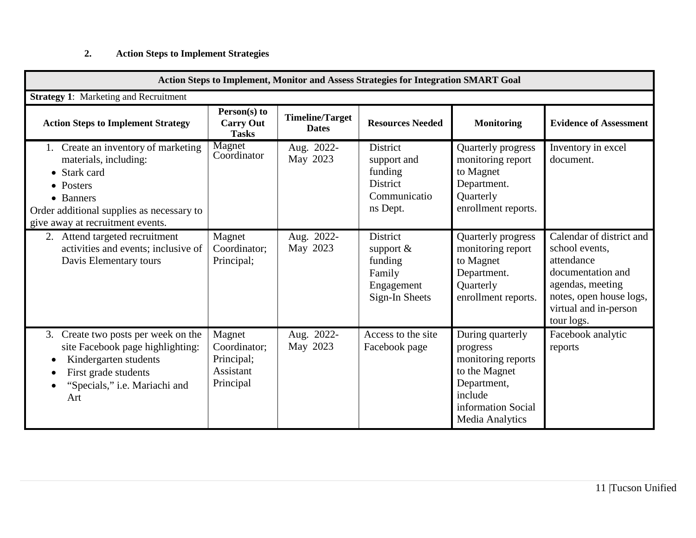# **2. Action Steps to Implement Strategies**

| <b>Action Steps to Implement, Monitor and Assess Strategies for Integration SMART Goal</b>                                                                                                                        |                                                                |                                        |                                                                                     |                                                                                                                                        |                                                                                                                                                                     |  |
|-------------------------------------------------------------------------------------------------------------------------------------------------------------------------------------------------------------------|----------------------------------------------------------------|----------------------------------------|-------------------------------------------------------------------------------------|----------------------------------------------------------------------------------------------------------------------------------------|---------------------------------------------------------------------------------------------------------------------------------------------------------------------|--|
| <b>Strategy 1:</b> Marketing and Recruitment                                                                                                                                                                      |                                                                |                                        |                                                                                     |                                                                                                                                        |                                                                                                                                                                     |  |
| <b>Action Steps to Implement Strategy</b>                                                                                                                                                                         | Person(s) to<br><b>Carry Out</b><br><b>Tasks</b>               | <b>Timeline/Target</b><br><b>Dates</b> | <b>Resources Needed</b>                                                             | <b>Monitoring</b>                                                                                                                      | <b>Evidence of Assessment</b>                                                                                                                                       |  |
| 1. Create an inventory of marketing<br>materials, including:<br>• Stark card<br>• Posters<br>• Banners<br>Order additional supplies as necessary to<br>give away at recruitment events.                           | Magnet<br>Coordinator                                          | Aug. 2022-<br>May 2023                 | <b>District</b><br>support and<br>funding<br>District<br>Communicatio<br>ns Dept.   | Quarterly progress<br>monitoring report<br>to Magnet<br>Department.<br>Quarterly<br>enrollment reports.                                | Inventory in excel<br>document.                                                                                                                                     |  |
| 2. Attend targeted recruitment<br>activities and events; inclusive of<br>Davis Elementary tours                                                                                                                   | Magnet<br>Coordinator;<br>Principal;                           | Aug. 2022-<br>May 2023                 | <b>District</b><br>support $&$<br>funding<br>Family<br>Engagement<br>Sign-In Sheets | Quarterly progress<br>monitoring report<br>to Magnet<br>Department.<br>Quarterly<br>enrollment reports.                                | Calendar of district and<br>school events.<br>attendance<br>documentation and<br>agendas, meeting<br>notes, open house logs,<br>virtual and in-person<br>tour logs. |  |
| Create two posts per week on the<br>3.<br>site Facebook page highlighting:<br>Kindergarten students<br>$\bullet$<br>First grade students<br>$\bullet$<br>"Specials," <i>i.e.</i> Mariachi and<br>$\bullet$<br>Art | Magnet<br>Coordinator;<br>Principal;<br>Assistant<br>Principal | Aug. 2022-<br>May 2023                 | Access to the site<br>Facebook page                                                 | During quarterly<br>progress<br>monitoring reports<br>to the Magnet<br>Department,<br>include<br>information Social<br>Media Analytics | Facebook analytic<br>reports                                                                                                                                        |  |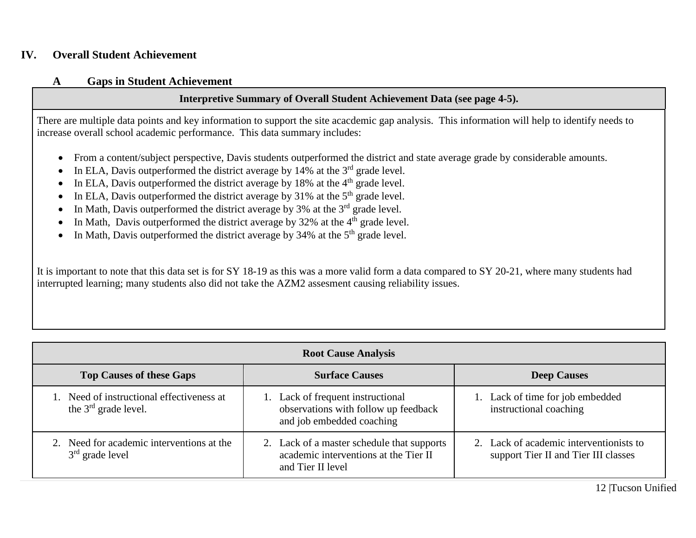## **IV. Overall Student Achievement**

### **A Gaps in Student Achievement**

## **Interpretive Summary of Overall Student Achievement Data (see page 4-5).**

There are multiple data points and key information to support the site acacdemic gap analysis. This information will help to identify needs to increase overall school academic performance. This data summary includes:

- From a content/subject perspective, Davis students outperformed the district and state average grade by considerable amounts.
- In ELA, Davis outperformed the district average by 14% at the  $3<sup>rd</sup>$  grade level.
- In ELA, Davis outperformed the district average by 18% at the  $4<sup>th</sup>$  grade level.
- In ELA, Davis outperformed the district average by 31% at the  $5<sup>th</sup>$  grade level.
- In Math, Davis outperformed the district average by 3% at the  $3<sup>rd</sup>$  grade level.
- In Math, Davis outperformed the district average by  $32\%$  at the  $4<sup>th</sup>$  grade level.
- In Math, Davis outperformed the district average by 34% at the  $5<sup>th</sup>$  grade level.

It is important to note that this data set is for SY 18-19 as this was a more valid form a data compared to SY 20-21, where many students had interrupted learning; many students also did not take the AZM2 assesment causing reliability issues.

| <b>Root Cause Analysis</b>                                          |                                                                                                          |                                                                                 |  |  |
|---------------------------------------------------------------------|----------------------------------------------------------------------------------------------------------|---------------------------------------------------------------------------------|--|--|
| <b>Top Causes of these Gaps</b>                                     | <b>Surface Causes</b>                                                                                    | <b>Deep Causes</b>                                                              |  |  |
| 1. Need of instructional effectiveness at<br>the $3rd$ grade level. | 1. Lack of frequent instructional<br>observations with follow up feedback<br>and job embedded coaching   | 1. Lack of time for job embedded<br>instructional coaching                      |  |  |
| 2. Need for academic interventions at the<br>$3rd$ grade level      | 2. Lack of a master schedule that supports<br>academic interventions at the Tier II<br>and Tier II level | 2. Lack of academic interventionists to<br>support Tier II and Tier III classes |  |  |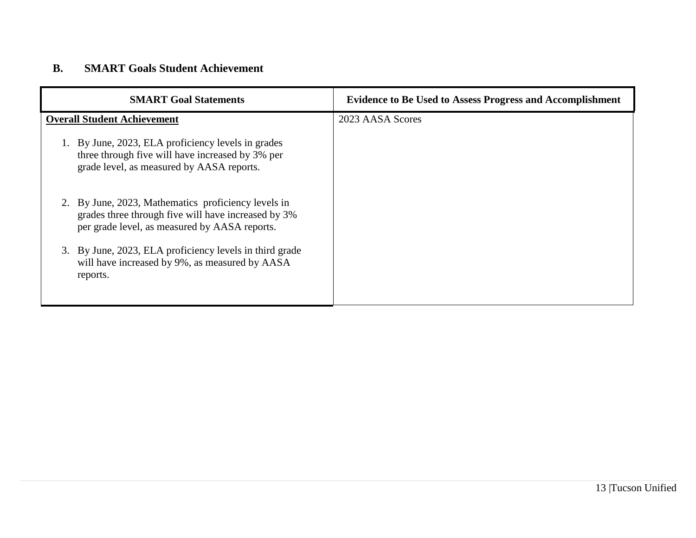# **B. SMART Goals Student Achievement**

| <b>SMART Goal Statements</b>                                                                                                                             | <b>Evidence to Be Used to Assess Progress and Accomplishment</b> |
|----------------------------------------------------------------------------------------------------------------------------------------------------------|------------------------------------------------------------------|
| <b>Overall Student Achievement</b>                                                                                                                       | 2023 AASA Scores                                                 |
| By June, 2023, ELA proficiency levels in grades<br>three through five will have increased by 3% per<br>grade level, as measured by AASA reports.         |                                                                  |
| By June, 2023, Mathematics proficiency levels in<br>grades three through five will have increased by 3%<br>per grade level, as measured by AASA reports. |                                                                  |
| By June, 2023, ELA proficiency levels in third grade<br>3.<br>will have increased by 9%, as measured by AASA<br>reports.                                 |                                                                  |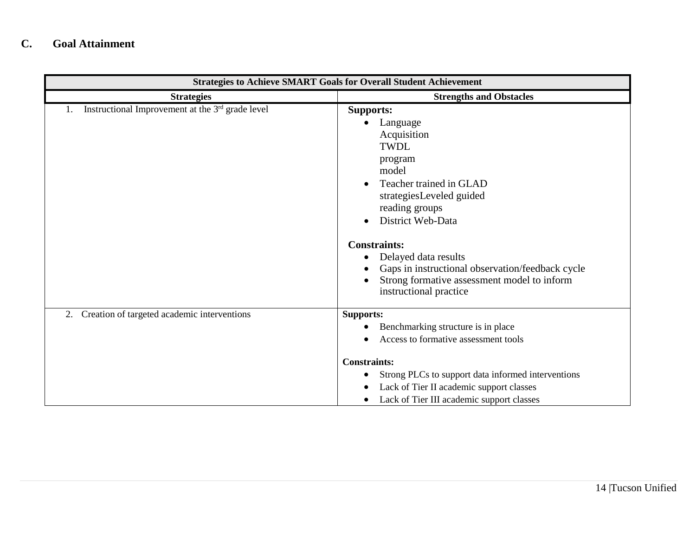# **C. Goal Attainment**

| <b>Strategies to Achieve SMART Goals for Overall Student Achievement</b> |                                                                                                                                                                                                                                                                                                                                                          |  |  |
|--------------------------------------------------------------------------|----------------------------------------------------------------------------------------------------------------------------------------------------------------------------------------------------------------------------------------------------------------------------------------------------------------------------------------------------------|--|--|
| <b>Strategies</b>                                                        | <b>Strengths and Obstacles</b>                                                                                                                                                                                                                                                                                                                           |  |  |
| Instructional Improvement at the 3rd grade level                         | <b>Supports:</b><br>Language<br>Acquisition<br><b>TWDL</b><br>program<br>model<br>Teacher trained in GLAD<br>strategiesLeveled guided<br>reading groups<br>District Web-Data<br><b>Constraints:</b><br>Delayed data results<br>Gaps in instructional observation/feedback cycle<br>Strong formative assessment model to inform<br>instructional practice |  |  |
| Creation of targeted academic interventions<br>2.                        | <b>Supports:</b><br>Benchmarking structure is in place<br>Access to formative assessment tools<br><b>Constraints:</b><br>Strong PLCs to support data informed interventions<br>Lack of Tier II academic support classes<br>$\bullet$<br>Lack of Tier III academic support classes                                                                        |  |  |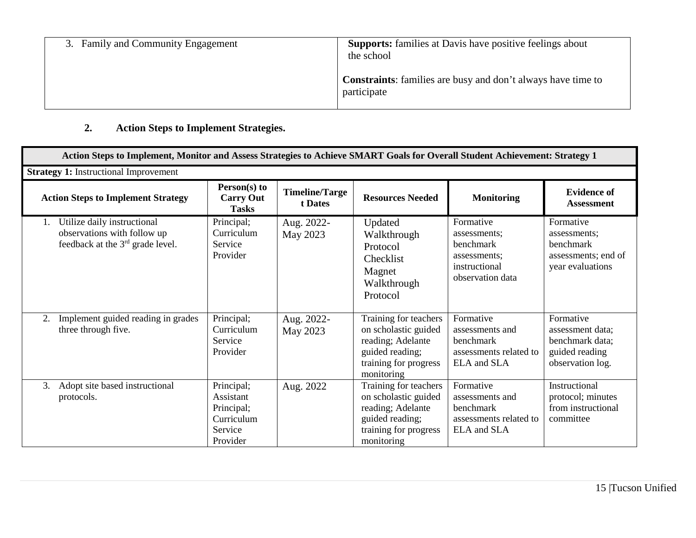| 3. Family and Community Engagement | <b>Supports:</b> families at Davis have positive feelings about<br>the school      |
|------------------------------------|------------------------------------------------------------------------------------|
|                                    | <b>Constraints:</b> families are busy and don't always have time to<br>participate |

# **2. Action Steps to Implement Strategies.**

| Action Steps to Implement, Monitor and Assess Strategies to Achieve SMART Goals for Overall Student Achievement: Strategy 1 |                                                                            |                                  |                                                                                                                              |                                                                                             |                                                                                        |
|-----------------------------------------------------------------------------------------------------------------------------|----------------------------------------------------------------------------|----------------------------------|------------------------------------------------------------------------------------------------------------------------------|---------------------------------------------------------------------------------------------|----------------------------------------------------------------------------------------|
| <b>Strategy 1: Instructional Improvement</b>                                                                                |                                                                            |                                  |                                                                                                                              |                                                                                             |                                                                                        |
| <b>Action Steps to Implement Strategy</b>                                                                                   | Person(s) to<br><b>Carry Out</b><br><b>Tasks</b>                           | <b>Timeline/Targe</b><br>t Dates | <b>Resources Needed</b>                                                                                                      | <b>Monitoring</b>                                                                           | <b>Evidence of</b><br><b>Assessment</b>                                                |
| Utilize daily instructional<br>1.<br>observations with follow up<br>feedback at the 3 <sup>rd</sup> grade level.            | Principal;<br>Curriculum<br>Service<br>Provider                            | Aug. 2022-<br>May 2023           | Updated<br>Walkthrough<br>Protocol<br>Checklist<br>Magnet<br>Walkthrough<br>Protocol                                         | Formative<br>assessments;<br>benchmark<br>assessments;<br>instructional<br>observation data | Formative<br>assessments;<br>benchmark<br>assessments; end of<br>year evaluations      |
| Implement guided reading in grades<br>2.<br>three through five.                                                             | Principal;<br>Curriculum<br>Service<br>Provider                            | Aug. 2022-<br>May 2023           | Training for teachers<br>on scholastic guided<br>reading; Adelante<br>guided reading;<br>training for progress<br>monitoring | Formative<br>assessments and<br>benchmark<br>assessments related to<br>ELA and SLA          | Formative<br>assessment data;<br>benchmark data;<br>guided reading<br>observation log. |
| Adopt site based instructional<br>3.<br>protocols.                                                                          | Principal;<br>Assistant<br>Principal;<br>Curriculum<br>Service<br>Provider | Aug. 2022                        | Training for teachers<br>on scholastic guided<br>reading; Adelante<br>guided reading;<br>training for progress<br>monitoring | Formative<br>assessments and<br>benchmark<br>assessments related to<br>ELA and SLA          | Instructional<br>protocol; minutes<br>from instructional<br>committee                  |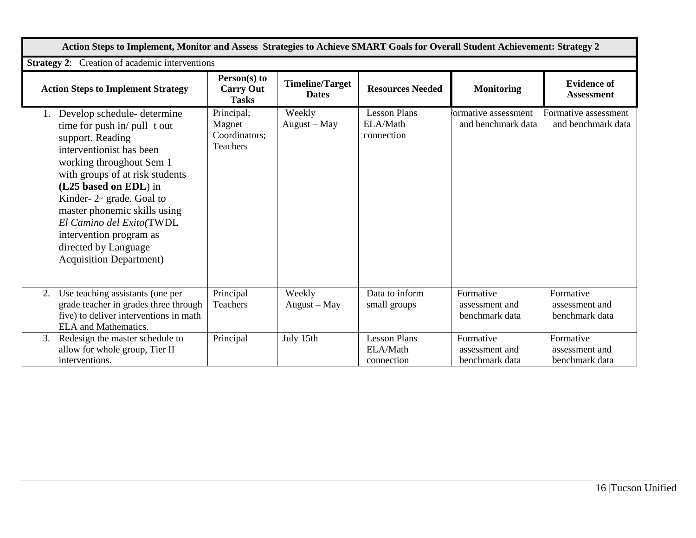| Action Steps to Implement, Monitor and Assess Strategies to Achieve SMART Goals for Overall Student Achievement: Strategy 2                                                                                                                                                                                                                                                          |                                                          |                                        |                                               |                                               |                                               |
|--------------------------------------------------------------------------------------------------------------------------------------------------------------------------------------------------------------------------------------------------------------------------------------------------------------------------------------------------------------------------------------|----------------------------------------------------------|----------------------------------------|-----------------------------------------------|-----------------------------------------------|-----------------------------------------------|
| <b>Strategy 2:</b> Creation of academic interventions                                                                                                                                                                                                                                                                                                                                |                                                          |                                        |                                               |                                               |                                               |
| <b>Action Steps to Implement Strategy</b>                                                                                                                                                                                                                                                                                                                                            | Person(s) to<br><b>Carry Out</b><br><b>Tasks</b>         | <b>Timeline/Target</b><br><b>Dates</b> | <b>Resources Needed</b>                       | <b>Monitoring</b>                             | <b>Evidence of</b><br><b>Assessment</b>       |
| Develop schedule-determine<br>time for push in/ pull t out<br>support. Reading<br>interventionist has been<br>working throughout Sem 1<br>with groups of at risk students<br>(L25 based on EDL) in<br>Kinder- $2nd$ grade. Goal to<br>master phonemic skills using<br>El Camino del Exito(TWDL<br>intervention program as<br>directed by Language<br><b>Acquisition Department</b> ) | Principal;<br>Magnet<br>Coordinators;<br><b>Teachers</b> | Weekly<br>August - May                 | <b>Lesson Plans</b><br>ELA/Math<br>connection | ormative assessment<br>and benchmark data     | Formative assessment<br>and benchmark data    |
| Use teaching assistants (one per<br>2.<br>grade teacher in grades three through<br>five) to deliver interventions in math<br><b>ELA</b> and Mathematics.                                                                                                                                                                                                                             | Principal<br>Teachers                                    | Weekly<br>August - May                 | Data to inform<br>small groups                | Formative<br>assessment and<br>benchmark data | Formative<br>assessment and<br>benchmark data |
| Redesign the master schedule to<br>3.<br>allow for whole group, Tier II<br>interventions.                                                                                                                                                                                                                                                                                            | Principal                                                | July 15th                              | <b>Lesson Plans</b><br>ELA/Math<br>connection | Formative<br>assessment and<br>benchmark data | Formative<br>assessment and<br>benchmark data |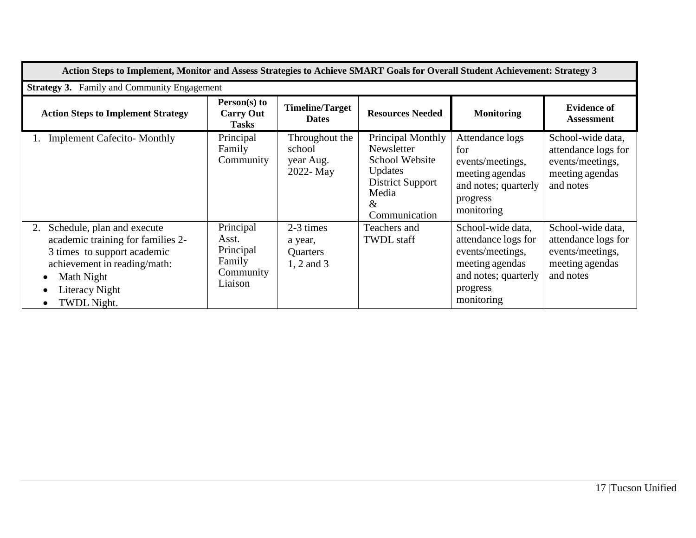| Action Steps to Implement, Monitor and Assess Strategies to Achieve SMART Goals for Overall Student Achievement: Strategy 3                                                         |                                                                   |                                                       |                                                                                                                               |                                                                                                                                   |                                                                                              |
|-------------------------------------------------------------------------------------------------------------------------------------------------------------------------------------|-------------------------------------------------------------------|-------------------------------------------------------|-------------------------------------------------------------------------------------------------------------------------------|-----------------------------------------------------------------------------------------------------------------------------------|----------------------------------------------------------------------------------------------|
| <b>Strategy 3.</b> Family and Community Engagement                                                                                                                                  |                                                                   |                                                       |                                                                                                                               |                                                                                                                                   |                                                                                              |
| <b>Action Steps to Implement Strategy</b>                                                                                                                                           | Person(s) to<br><b>Carry Out</b><br><b>Tasks</b>                  | <b>Timeline/Target</b><br><b>Dates</b>                | <b>Resources Needed</b>                                                                                                       | <b>Monitoring</b>                                                                                                                 | <b>Evidence of</b><br><b>Assessment</b>                                                      |
| <b>Implement Cafecito-Monthly</b>                                                                                                                                                   | Principal<br>Family<br>Community                                  | Throughout the<br>school<br>year Aug.<br>2022- May    | Principal Monthly<br>Newsletter<br>School Website<br><b>Updates</b><br><b>District Support</b><br>Media<br>&<br>Communication | Attendance logs<br>for<br>events/meetings,<br>meeting agendas<br>and notes; quarterly<br>progress<br>monitoring                   | School-wide data,<br>attendance logs for<br>events/meetings,<br>meeting agendas<br>and notes |
| Schedule, plan and execute<br>2.<br>academic training for families 2-<br>3 times to support academic<br>achievement in reading/math:<br>Math Night<br>Literacy Night<br>TWDL Night. | Principal<br>Asst.<br>Principal<br>Family<br>Community<br>Liaison | 2-3 times<br>a year,<br><b>Quarters</b><br>1, 2 and 3 | Teachers and<br><b>TWDL</b> staff                                                                                             | School-wide data,<br>attendance logs for<br>events/meetings,<br>meeting agendas<br>and notes; quarterly<br>progress<br>monitoring | School-wide data,<br>attendance logs for<br>events/meetings,<br>meeting agendas<br>and notes |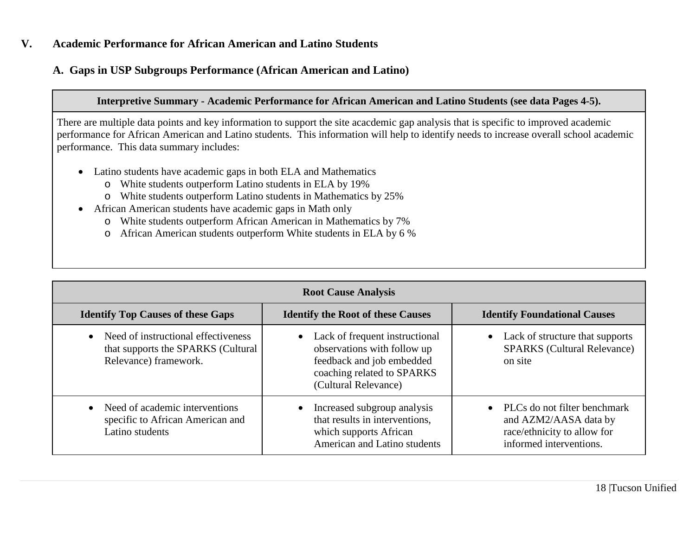## **V. Academic Performance for African American and Latino Students**

## **A. Gaps in USP Subgroups Performance (African American and Latino)**

#### **Interpretive Summary - Academic Performance for African American and Latino Students (see data Pages 4-5).**

There are multiple data points and key information to support the site acacdemic gap analysis that is specific to improved academic performance for African American and Latino students. This information will help to identify needs to increase overall school academic performance. This data summary includes:

- Latino students have academic gaps in both ELA and Mathematics
	- o White students outperform Latino students in ELA by 19%
	- o White students outperform Latino students in Mathematics by 25%
- African American students have academic gaps in Math only
	- o White students outperform African American in Mathematics by 7%
	- o African American students outperform White students in ELA by 6 %

| <b>Root Cause Analysis</b>                                                                         |                                                                                                                                                    |                                                                                                                 |  |  |
|----------------------------------------------------------------------------------------------------|----------------------------------------------------------------------------------------------------------------------------------------------------|-----------------------------------------------------------------------------------------------------------------|--|--|
| <b>Identify Top Causes of these Gaps</b>                                                           | <b>Identify the Root of these Causes</b>                                                                                                           | <b>Identify Foundational Causes</b>                                                                             |  |  |
| Need of instructional effectiveness<br>that supports the SPARKS (Cultural<br>Relevance) framework. | • Lack of frequent instructional<br>observations with follow up<br>feedback and job embedded<br>coaching related to SPARKS<br>(Cultural Relevance) | Lack of structure that supports<br><b>SPARKS</b> (Cultural Relevance)<br>on site                                |  |  |
| Need of academic interventions<br>specific to African American and<br>Latino students              | • Increased subgroup analysis<br>that results in interventions,<br>which supports African<br>American and Latino students                          | PLCs do not filter benchmark<br>and AZM2/AASA data by<br>race/ethnicity to allow for<br>informed interventions. |  |  |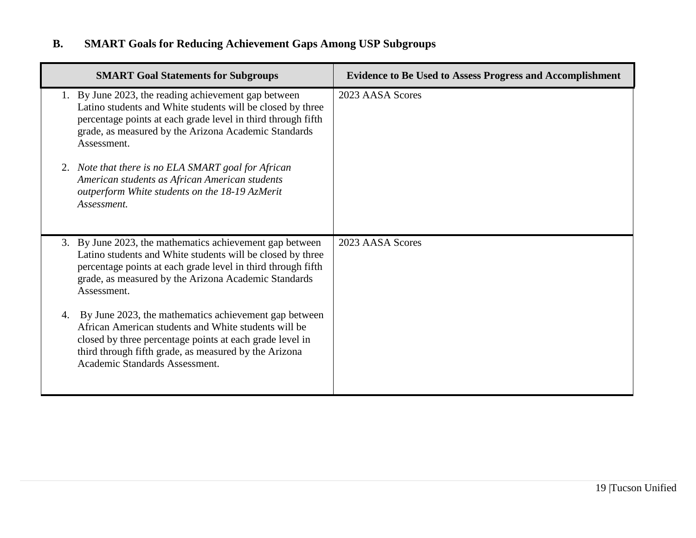# **B. SMART Goals for Reducing Achievement Gaps Among USP Subgroups**

| <b>SMART Goal Statements for Subgroups</b>                                                                                                                                                                                                                                 | <b>Evidence to Be Used to Assess Progress and Accomplishment</b> |
|----------------------------------------------------------------------------------------------------------------------------------------------------------------------------------------------------------------------------------------------------------------------------|------------------------------------------------------------------|
| 1. By June 2023, the reading achievement gap between<br>Latino students and White students will be closed by three<br>percentage points at each grade level in third through fifth<br>grade, as measured by the Arizona Academic Standards<br>Assessment.                  | 2023 AASA Scores                                                 |
| 2. Note that there is no ELA SMART goal for African<br>American students as African American students<br>outperform White students on the 18-19 AzMerit<br>Assessment.                                                                                                     |                                                                  |
| 3. By June 2023, the mathematics achievement gap between<br>Latino students and White students will be closed by three<br>percentage points at each grade level in third through fifth<br>grade, as measured by the Arizona Academic Standards<br>Assessment.              | 2023 AASA Scores                                                 |
| By June 2023, the mathematics achievement gap between<br>4.<br>African American students and White students will be<br>closed by three percentage points at each grade level in<br>third through fifth grade, as measured by the Arizona<br>Academic Standards Assessment. |                                                                  |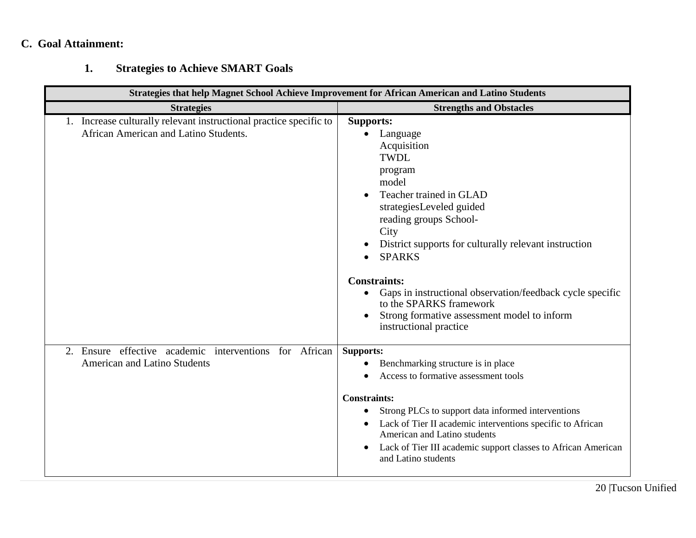# **C. Goal Attainment:**

# **1. Strategies to Achieve SMART Goals**

| <b>Strategies that help Magnet School Achieve Improvement for African American and Latino Students</b>      |                                                                                                                                                                                                                                                                                                                                                                                                                                                                                  |  |  |  |
|-------------------------------------------------------------------------------------------------------------|----------------------------------------------------------------------------------------------------------------------------------------------------------------------------------------------------------------------------------------------------------------------------------------------------------------------------------------------------------------------------------------------------------------------------------------------------------------------------------|--|--|--|
| <b>Strategies</b>                                                                                           | <b>Strengths and Obstacles</b>                                                                                                                                                                                                                                                                                                                                                                                                                                                   |  |  |  |
| 1. Increase culturally relevant instructional practice specific to<br>African American and Latino Students. | <b>Supports:</b><br>Language<br>$\bullet$<br>Acquisition<br><b>TWDL</b><br>program<br>model<br>Teacher trained in GLAD<br>strategiesLeveled guided<br>reading groups School-<br>City<br>District supports for culturally relevant instruction<br><b>SPARKS</b><br>$\bullet$<br><b>Constraints:</b><br>Gaps in instructional observation/feedback cycle specific<br>$\bullet$<br>to the SPARKS framework<br>Strong formative assessment model to inform<br>instructional practice |  |  |  |
| 2. Ensure effective academic interventions for African<br><b>American and Latino Students</b>               | <b>Supports:</b><br>Benchmarking structure is in place<br>Access to formative assessment tools<br><b>Constraints:</b><br>Strong PLCs to support data informed interventions<br>Lack of Tier II academic interventions specific to African<br>American and Latino students<br>Lack of Tier III academic support classes to African American<br>and Latino students                                                                                                                |  |  |  |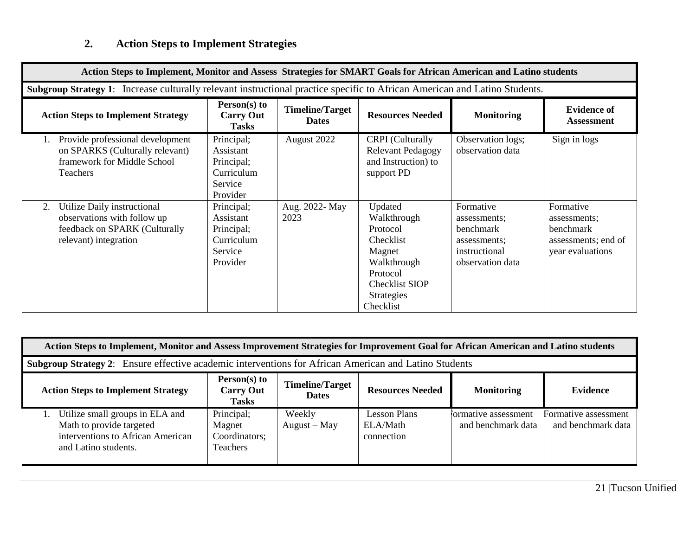# **2. Action Steps to Implement Strategies**

| Action Steps to Implement, Monitor and Assess Strategies for SMART Goals for African American and Latino students          |                                                                                                                            |                                        |                                                                                                                                                 |                                                                                             |                                                                                   |  |
|----------------------------------------------------------------------------------------------------------------------------|----------------------------------------------------------------------------------------------------------------------------|----------------------------------------|-------------------------------------------------------------------------------------------------------------------------------------------------|---------------------------------------------------------------------------------------------|-----------------------------------------------------------------------------------|--|
|                                                                                                                            | Subgroup Strategy 1: Increase culturally relevant instructional practice specific to African American and Latino Students. |                                        |                                                                                                                                                 |                                                                                             |                                                                                   |  |
| <b>Action Steps to Implement Strategy</b>                                                                                  | Person(s) to<br><b>Carry Out</b><br><b>Tasks</b>                                                                           | <b>Timeline/Target</b><br><b>Dates</b> | <b>Resources Needed</b>                                                                                                                         | <b>Monitoring</b>                                                                           | <b>Evidence of</b><br><b>Assessment</b>                                           |  |
| Provide professional development<br>on SPARKS (Culturally relevant)<br>framework for Middle School<br><b>Teachers</b>      | Principal;<br>Assistant<br>Principal;<br>Curriculum<br>Service<br>Provider                                                 | August 2022                            | <b>CRPI</b> (Culturally<br><b>Relevant Pedagogy</b><br>and Instruction) to<br>support PD                                                        | Observation logs;<br>observation data                                                       | Sign in logs                                                                      |  |
| Utilize Daily instructional<br>2.<br>observations with follow up<br>feedback on SPARK (Culturally<br>relevant) integration | Principal;<br>Assistant<br>Principal;<br>Curriculum<br>Service<br>Provider                                                 | Aug. 2022- May<br>2023                 | Updated<br>Walkthrough<br>Protocol<br>Checklist<br>Magnet<br>Walkthrough<br>Protocol<br><b>Checklist SIOP</b><br><b>Strategies</b><br>Checklist | Formative<br>assessments;<br>benchmark<br>assessments:<br>instructional<br>observation data | Formative<br>assessments;<br>benchmark<br>assessments; end of<br>year evaluations |  |

| Action Steps to Implement, Monitor and Assess Improvement Strategies for Improvement Goal for African American and Latino students |                                                    |                                        |                                               |                                            |                                            |
|------------------------------------------------------------------------------------------------------------------------------------|----------------------------------------------------|----------------------------------------|-----------------------------------------------|--------------------------------------------|--------------------------------------------|
| <b>Subgroup Strategy 2:</b> Ensure effective academic interventions for African American and Latino Students                       |                                                    |                                        |                                               |                                            |                                            |
| <b>Action Steps to Implement Strategy</b>                                                                                          | $Person(s)$ to<br><b>Carry Out</b><br><b>Tasks</b> | <b>Timeline/Target</b><br><b>Dates</b> | <b>Resources Needed</b>                       | <b>Monitoring</b>                          | Evidence                                   |
| Utilize small groups in ELA and<br>Math to provide targeted<br>interventions to African American<br>and Latino students.           | Principal;<br>Magnet<br>Coordinators;<br>Teachers  | Weekly<br>$August - May$               | <b>Lesson Plans</b><br>ELA/Math<br>connection | formative assessment<br>and benchmark data | Formative assessment<br>and benchmark data |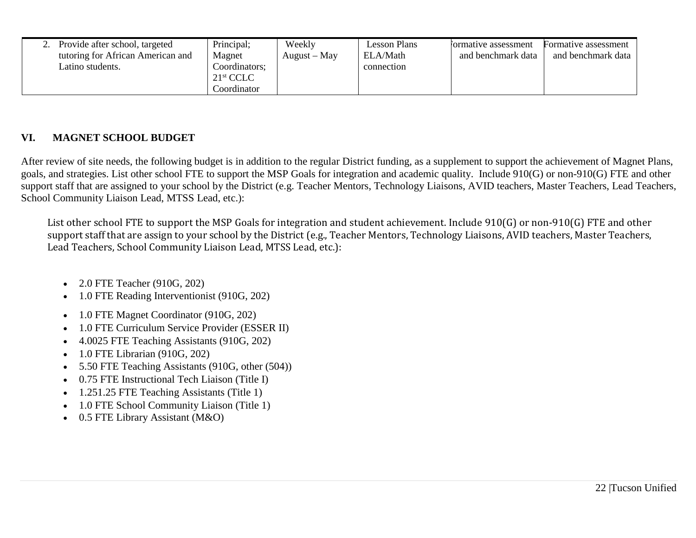|  | Provide after school, targeted<br>tutoring for African American and<br>Latino students. | Principal;<br>Magnet<br>Coordinators;<br>$21^{\rm st}$ CCLC<br>Coordinator | Weekly<br>$August - May$ | Lesson Plans<br>ELA/Math<br>connection | formative assessment<br>and benchmark data | Formative assessment<br>and benchmark data |
|--|-----------------------------------------------------------------------------------------|----------------------------------------------------------------------------|--------------------------|----------------------------------------|--------------------------------------------|--------------------------------------------|
|--|-----------------------------------------------------------------------------------------|----------------------------------------------------------------------------|--------------------------|----------------------------------------|--------------------------------------------|--------------------------------------------|

# **VI. MAGNET SCHOOL BUDGET**

After review of site needs, the following budget is in addition to the regular District funding, as a supplement to support the achievement of Magnet Plans, goals, and strategies. List other school FTE to support the MSP Goals for integration and academic quality. Include 910(G) or non-910(G) FTE and other support staff that are assigned to your school by the District (e.g. Teacher Mentors, Technology Liaisons, AVID teachers, Master Teachers, Lead Teachers, School Community Liaison Lead, MTSS Lead, etc.):

List other school FTE to support the MSP Goals for integration and student achievement. Include 910(G) or non-910(G) FTE and other support staff that are assign to your school by the District (e.g., Teacher Mentors, Technology Liaisons, AVID teachers, Master Teachers, Lead Teachers, School Community Liaison Lead, MTSS Lead, etc.):

- 2.0 FTE Teacher (910G, 202)
- 1.0 FTE Reading Interventionist (910G, 202)
- 1.0 FTE Magnet Coordinator (910G, 202)
- 1.0 FTE Curriculum Service Provider (ESSER II)
- 4.0025 FTE Teaching Assistants (910G, 202)
- 1.0 FTE Librarian (910G, 202)
- 5.50 FTE Teaching Assistants (910G, other (504))
- 0.75 FTE Instructional Tech Liaison (Title I)
- 1.251.25 FTE Teaching Assistants (Title 1)
- 1.0 FTE School Community Liaison (Title 1)
- 0.5 FTE Library Assistant (M&O)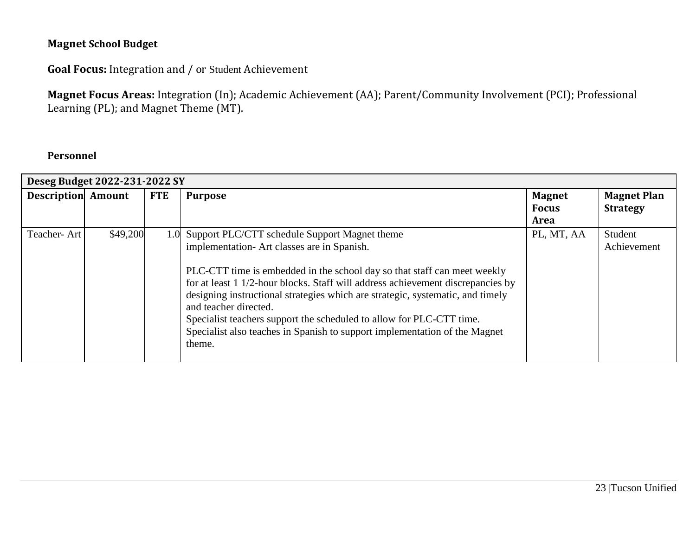# **Magnet School Budget**

**Goal Focus:** Integration and / or Student Achievement

**Magnet Focus Areas:** Integration (In); Academic Achievement (AA); Parent/Community Involvement (PCI); Professional Learning (PL); and Magnet Theme (MT).

# **Personnel**

|                           | Deseg Budget 2022-231-2022 SY |            |                                                                                                                                                                                                                                                                                                                                                                                                                                        |               |                    |  |  |
|---------------------------|-------------------------------|------------|----------------------------------------------------------------------------------------------------------------------------------------------------------------------------------------------------------------------------------------------------------------------------------------------------------------------------------------------------------------------------------------------------------------------------------------|---------------|--------------------|--|--|
| <b>Description Amount</b> |                               | <b>FTE</b> | <b>Purpose</b>                                                                                                                                                                                                                                                                                                                                                                                                                         | <b>Magnet</b> | <b>Magnet Plan</b> |  |  |
|                           |                               |            |                                                                                                                                                                                                                                                                                                                                                                                                                                        | <b>Focus</b>  | <b>Strategy</b>    |  |  |
|                           |                               |            |                                                                                                                                                                                                                                                                                                                                                                                                                                        | Area          |                    |  |  |
| Teacher-Art               | \$49,200                      |            | 1.0 Support PLC/CTT schedule Support Magnet theme                                                                                                                                                                                                                                                                                                                                                                                      | PL, MT, AA    | Student            |  |  |
|                           |                               |            | implementation-Art classes are in Spanish.                                                                                                                                                                                                                                                                                                                                                                                             |               | Achievement        |  |  |
|                           |                               |            | PLC-CTT time is embedded in the school day so that staff can meet weekly<br>for at least 1 1/2-hour blocks. Staff will address achievement discrepancies by<br>designing instructional strategies which are strategic, systematic, and timely<br>and teacher directed.<br>Specialist teachers support the scheduled to allow for PLC-CTT time.<br>Specialist also teaches in Spanish to support implementation of the Magnet<br>theme. |               |                    |  |  |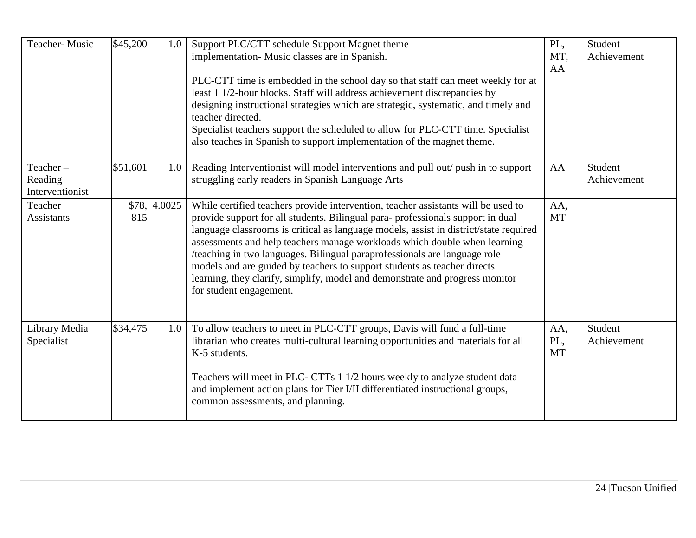| Teacher-Music                          | \$45,200 | 1.0          | Support PLC/CTT schedule Support Magnet theme<br>implementation-Music classes are in Spanish.<br>PLC-CTT time is embedded in the school day so that staff can meet weekly for at<br>least 1 1/2-hour blocks. Staff will address achievement discrepancies by<br>designing instructional strategies which are strategic, systematic, and timely and<br>teacher directed.<br>Specialist teachers support the scheduled to allow for PLC-CTT time. Specialist<br>also teaches in Spanish to support implementation of the magnet theme.                                                                          | PL,<br>MT,<br>AA        | Student<br>Achievement |
|----------------------------------------|----------|--------------|---------------------------------------------------------------------------------------------------------------------------------------------------------------------------------------------------------------------------------------------------------------------------------------------------------------------------------------------------------------------------------------------------------------------------------------------------------------------------------------------------------------------------------------------------------------------------------------------------------------|-------------------------|------------------------|
| Teacher-<br>Reading<br>Interventionist | \$51,601 | 1.0          | Reading Interventionist will model interventions and pull out/ push in to support<br>struggling early readers in Spanish Language Arts                                                                                                                                                                                                                                                                                                                                                                                                                                                                        | AA                      | Student<br>Achievement |
| Teacher<br><b>Assistants</b>           | 815      | \$78, 4.0025 | While certified teachers provide intervention, teacher assistants will be used to<br>provide support for all students. Bilingual para-professionals support in dual<br>language classrooms is critical as language models, assist in district/state required<br>assessments and help teachers manage workloads which double when learning<br>/teaching in two languages. Bilingual paraprofessionals are language role<br>models and are guided by teachers to support students as teacher directs<br>learning, they clarify, simplify, model and demonstrate and progress monitor<br>for student engagement. | AA,<br><b>MT</b>        |                        |
| Library Media<br>Specialist            | \$34,475 | 1.0          | To allow teachers to meet in PLC-CTT groups, Davis will fund a full-time<br>librarian who creates multi-cultural learning opportunities and materials for all<br>K-5 students.<br>Teachers will meet in PLC- CTTs 1 1/2 hours weekly to analyze student data<br>and implement action plans for Tier I/II differentiated instructional groups,<br>common assessments, and planning.                                                                                                                                                                                                                            | AA,<br>PL,<br><b>MT</b> | Student<br>Achievement |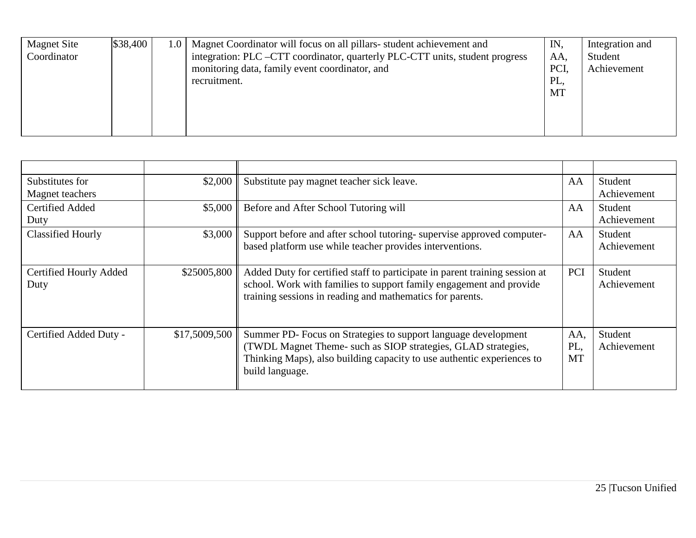| <b>Magnet Site</b><br>Coordinator | \$38,400 | 1.0   Magnet Coordinator will focus on all pillars-student achievement and<br>integration: PLC –CTT coordinator, quarterly PLC-CTT units, student progress<br>monitoring data, family event coordinator, and<br>recruitment. | IN<br>AA,<br>PCI.<br>PL,<br>MT | Integration and<br>Student<br>Achievement |
|-----------------------------------|----------|------------------------------------------------------------------------------------------------------------------------------------------------------------------------------------------------------------------------------|--------------------------------|-------------------------------------------|
|                                   |          |                                                                                                                                                                                                                              |                                |                                           |

| Substitutes for<br>Magnet teachers | \$2,000       | Substitute pay magnet teacher sick leave.                                                                                                                                                                                    | AA                      | Student<br>Achievement |
|------------------------------------|---------------|------------------------------------------------------------------------------------------------------------------------------------------------------------------------------------------------------------------------------|-------------------------|------------------------|
| Certified Added<br>Duty            | \$5,000       | Before and After School Tutoring will<br>AA                                                                                                                                                                                  |                         | Student<br>Achievement |
| <b>Classified Hourly</b>           | \$3,000       | Support before and after school tutoring- supervise approved computer-<br>based platform use while teacher provides interventions.                                                                                           | AA                      | Student<br>Achievement |
| Certified Hourly Added<br>Duty     | \$25005,800   | Added Duty for certified staff to participate in parent training session at<br>school. Work with families to support family engagement and provide<br>training sessions in reading and mathematics for parents.              | PCI                     | Student<br>Achievement |
| Certified Added Duty -             | \$17,5009,500 | Summer PD- Focus on Strategies to support language development<br>(TWDL Magnet Theme- such as SIOP strategies, GLAD strategies,<br>Thinking Maps), also building capacity to use authentic experiences to<br>build language. | AA,<br>PL,<br><b>MT</b> | Student<br>Achievement |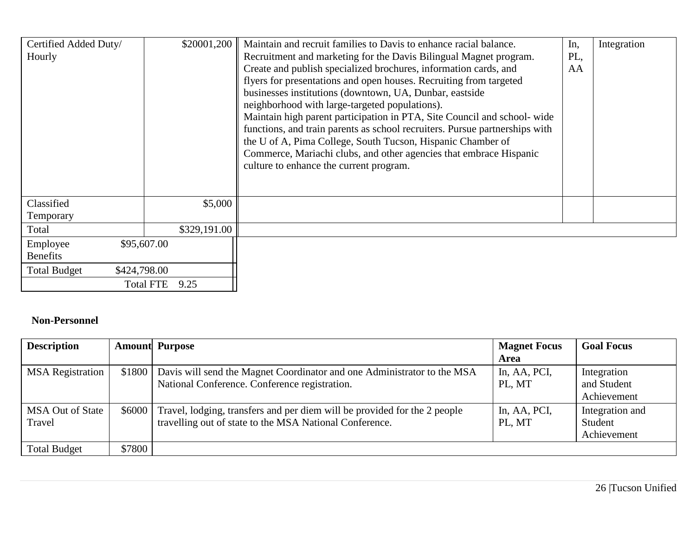| Certified Added Duty/<br>Hourly     | \$20001,200              | Maintain and recruit families to Davis to enhance racial balance.<br>Recruitment and marketing for the Davis Bilingual Magnet program.<br>Create and publish specialized brochures, information cards, and<br>flyers for presentations and open houses. Recruiting from targeted<br>businesses institutions (downtown, UA, Dunbar, eastside<br>neighborhood with large-targeted populations).<br>Maintain high parent participation in PTA, Site Council and school-wide<br>functions, and train parents as school recruiters. Pursue partnerships with<br>the U of A, Pima College, South Tucson, Hispanic Chamber of<br>Commerce, Mariachi clubs, and other agencies that embrace Hispanic<br>culture to enhance the current program. | In,<br>PL,<br>AA | Integration |
|-------------------------------------|--------------------------|-----------------------------------------------------------------------------------------------------------------------------------------------------------------------------------------------------------------------------------------------------------------------------------------------------------------------------------------------------------------------------------------------------------------------------------------------------------------------------------------------------------------------------------------------------------------------------------------------------------------------------------------------------------------------------------------------------------------------------------------|------------------|-------------|
| Classified<br>Temporary             | \$5,000                  |                                                                                                                                                                                                                                                                                                                                                                                                                                                                                                                                                                                                                                                                                                                                         |                  |             |
| Total                               | \$329,191.00             |                                                                                                                                                                                                                                                                                                                                                                                                                                                                                                                                                                                                                                                                                                                                         |                  |             |
| Employee<br><b>Benefits</b>         | \$95,607.00              |                                                                                                                                                                                                                                                                                                                                                                                                                                                                                                                                                                                                                                                                                                                                         |                  |             |
| <b>Total Budget</b><br>\$424,798.00 |                          |                                                                                                                                                                                                                                                                                                                                                                                                                                                                                                                                                                                                                                                                                                                                         |                  |             |
|                                     | <b>Total FTE</b><br>9.25 |                                                                                                                                                                                                                                                                                                                                                                                                                                                                                                                                                                                                                                                                                                                                         |                  |             |

# **Non-Personnel**

| <b>Description</b>      |        | <b>Amount</b> Purpose                                                            | <b>Magnet Focus</b> | <b>Goal Focus</b> |
|-------------------------|--------|----------------------------------------------------------------------------------|---------------------|-------------------|
|                         |        |                                                                                  | Area                |                   |
| <b>MSA</b> Registration |        | \$1800   Davis will send the Magnet Coordinator and one Administrator to the MSA | In, AA, PCI,        | Integration       |
|                         |        | National Conference. Conference registration.                                    | PL, MT              | and Student       |
|                         |        |                                                                                  |                     | Achievement       |
| <b>MSA Out of State</b> | \$6000 | Travel, lodging, transfers and per diem will be provided for the 2 people        | In, AA, PCI,        | Integration and   |
| Travel                  |        | travelling out of state to the MSA National Conference.                          | PL, MT              | Student           |
|                         |        |                                                                                  |                     | Achievement       |
| <b>Total Budget</b>     | \$7800 |                                                                                  |                     |                   |